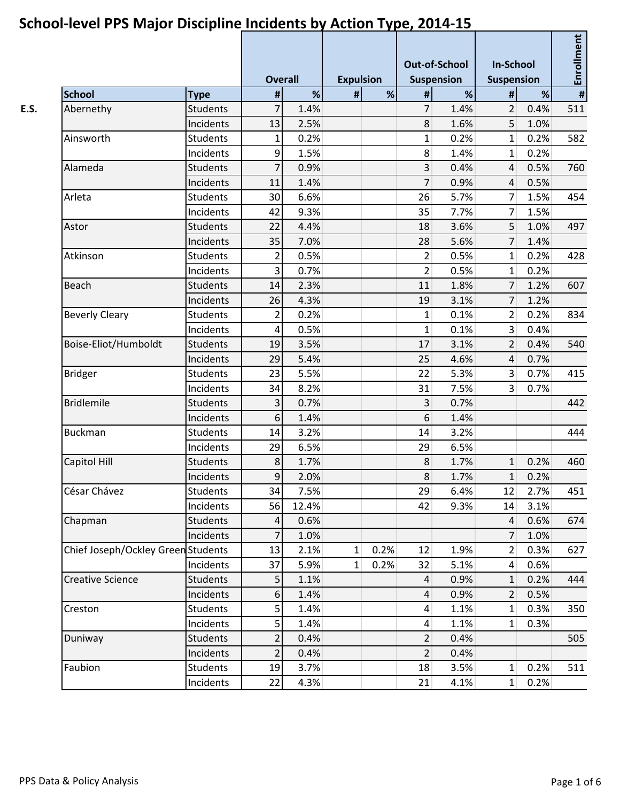|                                    |                 | <b>Overall</b>   |       | <b>Expulsion</b> |      | <b>Out-of-School</b><br><b>Suspension</b> |      | <b>In-School</b><br>Suspension |      | Enrollment     |  |
|------------------------------------|-----------------|------------------|-------|------------------|------|-------------------------------------------|------|--------------------------------|------|----------------|--|
| <b>School</b>                      | <b>Type</b>     | $\pmb{\sharp}$   | %     | #                | $\%$ | $\#$                                      | %    | #                              | %    | $\pmb{\sharp}$ |  |
| Abernethy                          | <b>Students</b> | 7                | 1.4%  |                  |      | $\overline{7}$                            | 1.4% | 2                              | 0.4% | 511            |  |
|                                    | Incidents       | 13               | 2.5%  |                  |      | 8                                         | 1.6% | 5 <sup>1</sup>                 | 1.0% |                |  |
| Ainsworth                          | <b>Students</b> | 1                | 0.2%  |                  |      | $\mathbf{1}$                              | 0.2% | $1\vert$                       | 0.2% | 582            |  |
|                                    | Incidents       | $\boldsymbol{9}$ | 1.5%  |                  |      | 8                                         | 1.4% | $\mathbf{1}$                   | 0.2% |                |  |
| Alameda                            | <b>Students</b> | 7                | 0.9%  |                  |      | $\overline{3}$                            | 0.4% | $\overline{4}$                 | 0.5% | 760            |  |
|                                    | Incidents       | 11               | 1.4%  |                  |      | $\overline{7}$                            | 0.9% | $\overline{4}$                 | 0.5% |                |  |
| Arleta                             | <b>Students</b> | 30               | 6.6%  |                  |      | 26                                        | 5.7% | $\overline{7}$                 | 1.5% | 454            |  |
|                                    | Incidents       | 42               | 9.3%  |                  |      | 35                                        | 7.7% | 7 <sup>1</sup>                 | 1.5% |                |  |
| Astor                              | <b>Students</b> | 22               | 4.4%  |                  |      | 18                                        | 3.6% | 5 <sup>5</sup>                 | 1.0% | 497            |  |
|                                    | Incidents       | 35               | 7.0%  |                  |      | 28                                        | 5.6% | 7                              | 1.4% |                |  |
| Atkinson                           | <b>Students</b> | $\overline{2}$   | 0.5%  |                  |      | $\overline{2}$                            | 0.5% | 1                              | 0.2% | 428            |  |
|                                    | Incidents       | 3                | 0.7%  |                  |      | $\overline{2}$                            | 0.5% | $\mathbf{1}$                   | 0.2% |                |  |
| <b>Beach</b>                       | <b>Students</b> | 14               | 2.3%  |                  |      | 11                                        | 1.8% | 7 <sup>1</sup>                 | 1.2% | 607            |  |
|                                    | Incidents       | 26               | 4.3%  |                  |      | 19                                        | 3.1% | $\overline{7}$                 | 1.2% |                |  |
| <b>Beverly Cleary</b>              | <b>Students</b> | $\overline{2}$   | 0.2%  |                  |      | $\mathbf{1}$                              | 0.1% | 2                              | 0.2% | 834            |  |
|                                    | Incidents       | $\overline{4}$   | 0.5%  |                  |      | $\mathbf{1}$                              | 0.1% | $\overline{3}$                 | 0.4% |                |  |
| Boise-Eliot/Humboldt               | <b>Students</b> | 19               | 3.5%  |                  |      | 17                                        | 3.1% | 2                              | 0.4% | 540            |  |
|                                    | Incidents       | 29               | 5.4%  |                  |      | 25                                        | 4.6% | $\overline{4}$                 | 0.7% |                |  |
| <b>Bridger</b>                     | <b>Students</b> | 23               | 5.5%  |                  |      | 22                                        | 5.3% | 3 <sup>1</sup>                 | 0.7% | 415            |  |
|                                    | Incidents       | 34               | 8.2%  |                  |      | 31                                        | 7.5% | $\overline{3}$                 | 0.7% |                |  |
| <b>Bridlemile</b>                  | <b>Students</b> | 3                | 0.7%  |                  |      | $\overline{3}$                            | 0.7% |                                |      | 442            |  |
|                                    | Incidents       | 6                | 1.4%  |                  |      | 6                                         | 1.4% |                                |      |                |  |
| <b>Buckman</b>                     | <b>Students</b> | 14               | 3.2%  |                  |      | 14                                        | 3.2% |                                |      | 444            |  |
|                                    | Incidents       | 29               | 6.5%  |                  |      | 29                                        | 6.5% |                                |      |                |  |
| Capitol Hill                       | <b>Students</b> | 8                | 1.7%  |                  |      | 8                                         | 1.7% | $\mathbf{1}$                   | 0.2% | 460            |  |
|                                    | Incidents       | $\overline{9}$   | 2.0%  |                  |      | 8                                         | 1.7% | 1                              | 0.2% |                |  |
| César Chávez                       | <b>Students</b> | 34               | 7.5%  |                  |      | 29                                        | 6.4% | 12                             | 2.7% | 451            |  |
|                                    | Incidents       | 56               | 12.4% |                  |      | 42                                        | 9.3% | 14                             | 3.1% |                |  |
| Chapman                            | <b>Students</b> | 4                | 0.6%  |                  |      |                                           |      | $\vert$                        | 0.6% | 674            |  |
|                                    | Incidents       | 7                | 1.0%  |                  |      |                                           |      | $\overline{7}$                 | 1.0% |                |  |
| Chief Joseph/Ockley Green Students |                 | 13               | 2.1%  | $\mathbf{1}$     | 0.2% | 12                                        | 1.9% | $\overline{2}$                 | 0.3% | 627            |  |
|                                    | Incidents       | 37               | 5.9%  | $\mathbf{1}$     | 0.2% | 32                                        | 5.1% | $\vert 4 \vert$                | 0.6% |                |  |
| <b>Creative Science</b>            | <b>Students</b> | 5                | 1.1%  |                  |      | $\overline{4}$                            | 0.9% | $\mathbf{1}$                   | 0.2% | 444            |  |
|                                    | Incidents       | 6                | 1.4%  |                  |      | 4                                         | 0.9% | $\overline{2}$                 | 0.5% |                |  |
| Creston                            | Students        | 5                | 1.4%  |                  |      | 4                                         | 1.1% | $\mathbf{1}$                   | 0.3% | 350            |  |
|                                    | Incidents       | 5                | 1.4%  |                  |      | 4                                         | 1.1% | $1\vert$                       | 0.3% |                |  |
| Duniway                            | <b>Students</b> | $\overline{2}$   | 0.4%  |                  |      | $\overline{2}$                            | 0.4% |                                |      | 505            |  |
|                                    | Incidents       | 2                | 0.4%  |                  |      | $\overline{2}$                            | 0.4% |                                |      |                |  |
| Faubion                            | <b>Students</b> | 19               | 3.7%  |                  |      | 18                                        | 3.5% | 1                              | 0.2% | 511            |  |
|                                    | Incidents       | 22               | 4.3%  |                  |      | 21                                        | 4.1% | $1\overline{ }$                | 0.2% |                |  |
|                                    |                 |                  |       |                  |      |                                           |      |                                |      |                |  |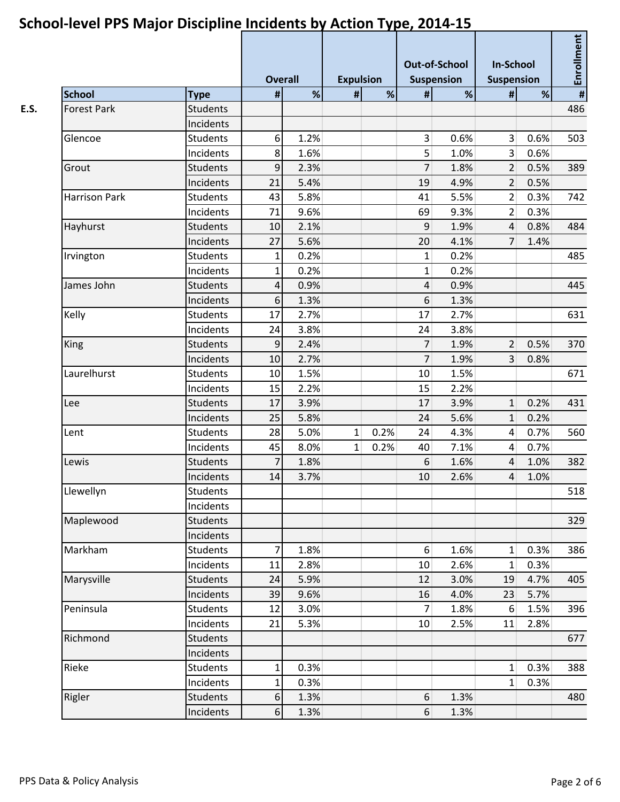|                            |                 | <b>Overall</b> |      | <b>Expulsion</b> |      | <b>Out-of-School</b><br><b>Suspension</b> |      | <b>In-School</b><br>Suspension |      | Enrollment |  |
|----------------------------|-----------------|----------------|------|------------------|------|-------------------------------------------|------|--------------------------------|------|------------|--|
| <b>School</b>              | <b>Type</b>     | $\pmb{\#}$     | %    | $\pmb{\sharp}$   | $\%$ | $\#$                                      | %    | #                              | %    | $\pmb{\#}$ |  |
| <b>Forest Park</b>         | <b>Students</b> |                |      |                  |      |                                           |      |                                |      | 486        |  |
|                            | Incidents       |                |      |                  |      |                                           |      |                                |      |            |  |
| Glencoe                    | <b>Students</b> | 6              | 1.2% |                  |      | $\overline{3}$                            | 0.6% | 3 <sup>1</sup>                 | 0.6% | 503        |  |
|                            | Incidents       | 8              | 1.6% |                  |      | 5                                         | 1.0% | $\overline{3}$                 | 0.6% |            |  |
| Grout                      | <b>Students</b> | $9\,$          | 2.3% |                  |      | $\overline{7}$                            | 1.8% | 2 <sup>1</sup>                 | 0.5% | 389        |  |
|                            | Incidents       | 21             | 5.4% |                  |      | 19                                        | 4.9% | 2                              | 0.5% |            |  |
| <b>Harrison Park</b>       | <b>Students</b> | 43             | 5.8% |                  |      | 41                                        | 5.5% | $\overline{2}$                 | 0.3% | 742        |  |
|                            | Incidents       | 71             | 9.6% |                  |      | 69                                        | 9.3% | 2 <sup>1</sup>                 | 0.3% |            |  |
| Hayhurst                   | <b>Students</b> | 10             | 2.1% |                  |      | 9                                         | 1.9% | $\overline{4}$                 | 0.8% | 484        |  |
|                            | Incidents       | 27             | 5.6% |                  |      | 20                                        | 4.1% | $\overline{7}$                 | 1.4% |            |  |
| Irvington                  | Students        | $\mathbf{1}$   | 0.2% |                  |      | $\mathbf{1}$                              | 0.2% |                                |      | 485        |  |
| James John                 | Incidents       | $\mathbf{1}$   | 0.2% |                  |      | $\mathbf{1}$                              | 0.2% |                                |      |            |  |
|                            | <b>Students</b> | 4              | 0.9% |                  |      | $\overline{4}$                            | 0.9% |                                |      | 445        |  |
|                            | Incidents       | 6              | 1.3% |                  |      | 6                                         | 1.3% |                                |      |            |  |
| Kelly                      | <b>Students</b> | 17             | 2.7% |                  |      | 17                                        | 2.7% |                                |      | 631        |  |
|                            | Incidents       | 24             | 3.8% |                  |      | 24                                        | 3.8% |                                |      |            |  |
| King<br>Laurelhurst<br>Lee | <b>Students</b> | 9              | 2.4% |                  |      | $\overline{7}$                            | 1.9% | $\overline{2}$                 | 0.5% | 370        |  |
|                            | Incidents       | 10             | 2.7% |                  |      | $\overline{7}$                            | 1.9% | 3 <sup>1</sup>                 | 0.8% |            |  |
|                            | <b>Students</b> | 10             | 1.5% |                  |      | 10                                        | 1.5% |                                |      | 671        |  |
|                            | Incidents       | 15             | 2.2% |                  |      | 15                                        | 2.2% |                                |      |            |  |
|                            | <b>Students</b> | 17             | 3.9% |                  |      | 17                                        | 3.9% | 1                              | 0.2% | 431        |  |
|                            | Incidents       | 25             | 5.8% |                  |      | 24                                        | 5.6% | $\mathbf{1}$                   | 0.2% |            |  |
| Lent                       | <b>Students</b> | 28             | 5.0% | $\mathbf{1}$     | 0.2% | 24                                        | 4.3% | $\overline{4}$                 | 0.7% | 560        |  |
|                            | Incidents       | 45             | 8.0% | $\mathbf{1}$     | 0.2% | 40                                        | 7.1% | $\overline{4}$                 | 0.7% |            |  |
| Lewis                      | <b>Students</b> | 7              | 1.8% |                  |      | $\boldsymbol{6}$                          | 1.6% | $\overline{4}$                 | 1.0% | 382        |  |
|                            | Incidents       | 14             | 3.7% |                  |      | 10                                        | 2.6% | $\overline{4}$                 | 1.0% |            |  |
| Llewellyn                  | <b>Students</b> |                |      |                  |      |                                           |      |                                |      | 518        |  |
|                            | Incidents       |                |      |                  |      |                                           |      |                                |      |            |  |
| Maplewood                  | <b>Students</b> |                |      |                  |      |                                           |      |                                |      | 329        |  |
|                            | Incidents       |                |      |                  |      |                                           |      |                                |      |            |  |
| Markham                    | <b>Students</b> | 7              | 1.8% |                  |      | $6 \mid$                                  | 1.6% | $\mathbf{1}$                   | 0.3% | 386        |  |
|                            | Incidents       | 11             | 2.8% |                  |      | 10                                        | 2.6% | $\mathbf{1}$                   | 0.3% |            |  |
| Marysville                 | <b>Students</b> | 24             | 5.9% |                  |      | 12                                        | 3.0% | 19                             | 4.7% | 405        |  |
|                            | Incidents       | 39             | 9.6% |                  |      | 16                                        | 4.0% | 23                             | 5.7% |            |  |
| Peninsula                  | Students        | 12             | 3.0% |                  |      | $\overline{7}$                            | 1.8% | $6 \overline{6}$               | 1.5% | 396        |  |
|                            | Incidents       | 21             | 5.3% |                  |      | 10                                        | 2.5% | 11                             | 2.8% |            |  |
| Richmond                   | <b>Students</b> |                |      |                  |      |                                           |      |                                |      | 677        |  |
|                            | Incidents       |                |      |                  |      |                                           |      |                                |      |            |  |
| Rieke                      | Students        | $\mathbf{1}$   | 0.3% |                  |      |                                           |      | $\mathbf{1}$                   | 0.3% | 388        |  |
|                            | Incidents       | $\mathbf{1}$   | 0.3% |                  |      |                                           |      | $\mathbf{1}$                   | 0.3% |            |  |
| Rigler                     | Students        | 6              | 1.3% |                  |      | $6 \overline{6}$                          | 1.3% |                                |      | 480        |  |
|                            | Incidents       | $6 \mid$       | 1.3% |                  |      | $6 \overline{6}$                          | 1.3% |                                |      |            |  |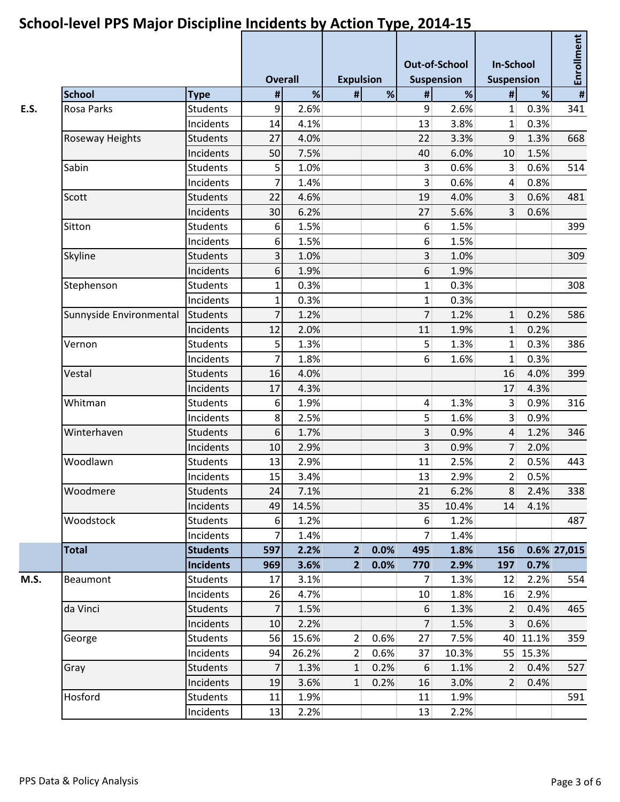|                         |                  |                | <b>Overall</b> |                | <b>Expulsion</b> |                  | <b>Out-of-School</b><br><b>Suspension</b> | <b>In-School</b><br><b>Suspension</b> |          | Enrollment     |  |
|-------------------------|------------------|----------------|----------------|----------------|------------------|------------------|-------------------------------------------|---------------------------------------|----------|----------------|--|
| <b>School</b>           | <b>Type</b>      | $\pmb{\sharp}$ | %              | #              | %                | #                | %                                         | #                                     | %        | $\pmb{\sharp}$ |  |
| <b>Rosa Parks</b>       | <b>Students</b>  | $\overline{9}$ | 2.6%           |                |                  | 9                | 2.6%                                      | $\mathbf{1}$                          | 0.3%     | 341            |  |
|                         | Incidents        | 14             | 4.1%           |                |                  | 13               | 3.8%                                      | $\mathbf{1}$                          | 0.3%     |                |  |
| Roseway Heights         | <b>Students</b>  | 27             | 4.0%           |                |                  | 22               | 3.3%                                      | $\overline{9}$                        | 1.3%     | 668            |  |
|                         | Incidents        | 50             | 7.5%           |                |                  | 40               | 6.0%                                      | 10                                    | 1.5%     |                |  |
| Sabin                   | <b>Students</b>  | 5              | 1.0%           |                |                  | $\overline{3}$   | 0.6%                                      | $\overline{3}$                        | 0.6%     | 514            |  |
|                         | Incidents        | 7              | 1.4%           |                |                  | $\overline{3}$   | 0.6%                                      | $\vert$                               | 0.8%     |                |  |
| Scott                   | <b>Students</b>  | 22             | 4.6%           |                |                  | 19               | 4.0%                                      | $\overline{3}$                        | 0.6%     | 481            |  |
|                         | Incidents        | 30             | 6.2%           |                |                  | 27               | 5.6%                                      | $\overline{3}$                        | 0.6%     |                |  |
| Sitton                  | Students         | 6              | 1.5%           |                |                  | 6                | 1.5%                                      |                                       |          | 399            |  |
|                         | Incidents        | 6              | 1.5%           |                |                  | $6 \overline{6}$ | 1.5%                                      |                                       |          |                |  |
| Skyline                 | <b>Students</b>  | $\overline{3}$ | 1.0%           |                |                  | $\overline{3}$   | 1.0%                                      |                                       |          | 309            |  |
|                         | Incidents        | 6              | 1.9%           |                |                  | 6                | 1.9%                                      |                                       |          |                |  |
| Stephenson              | <b>Students</b>  | 1              | 0.3%           |                |                  | 1                | 0.3%                                      |                                       |          | 308            |  |
|                         | Incidents        | 1              | 0.3%           |                |                  | $\mathbf{1}$     | 0.3%                                      |                                       |          |                |  |
| Sunnyside Environmental | <b>Students</b>  | 7              | 1.2%           |                |                  | 7                | 1.2%                                      | $1\overline{ }$                       | 0.2%     | 586            |  |
|                         | Incidents        | 12             | 2.0%           |                |                  | 11               | 1.9%                                      | 1                                     | 0.2%     |                |  |
| Vernon                  | <b>Students</b>  | 5              | 1.3%           |                |                  | 5                | 1.3%                                      | 1                                     | 0.3%     | 386            |  |
|                         | Incidents        | 7              | 1.8%           |                |                  | $6 \overline{6}$ | 1.6%                                      | $\mathbf{1}$                          | 0.3%     |                |  |
| Vestal                  | <b>Students</b>  | 16             | 4.0%           |                |                  |                  |                                           | 16                                    | 4.0%     | 399            |  |
|                         | Incidents        | 17             | 4.3%           |                |                  |                  |                                           | 17                                    | 4.3%     |                |  |
| Whitman                 | <b>Students</b>  | 6              | 1.9%           |                |                  | $\overline{4}$   | 1.3%                                      | $\overline{3}$                        | 0.9%     | 316            |  |
|                         | Incidents        | 8              | 2.5%           |                |                  | 5                | 1.6%                                      | 3 <sup>1</sup>                        | 0.9%     |                |  |
| Winterhaven             | <b>Students</b>  | 6              | 1.7%           |                |                  | 3                | 0.9%                                      | $\overline{4}$                        | 1.2%     | 346            |  |
|                         | Incidents        | 10             | 2.9%           |                |                  | 3                | 0.9%                                      | $\overline{7}$                        | 2.0%     |                |  |
| Woodlawn                | Students         | 13             | 2.9%           |                |                  | 11               | 2.5%                                      | $\vert$ 2                             | 0.5%     | 443            |  |
|                         | Incidents        | 15             | 3.4%           |                |                  | 13               | 2.9%                                      | 2                                     | 0.5%     |                |  |
| Woodmere                | <b>Students</b>  | 24             | 7.1%           |                |                  | 21               | 6.2%                                      | 8                                     | 2.4%     | 338            |  |
|                         | Incidents        | 49             | 14.5%          |                |                  | 35               | 10.4%                                     | 14                                    | 4.1%     |                |  |
| Woodstock               | <b>Students</b>  | 6              | 1.2%           |                |                  | 6                | 1.2%                                      |                                       |          | 487            |  |
|                         | Incidents        | 7              | 1.4%           |                |                  | 7                | 1.4%                                      |                                       |          |                |  |
| <b>Total</b>            | <b>Students</b>  | 597            | 2.2%           | 2 <sup>1</sup> | 0.0%             | 495              | 1.8%                                      | 156                                   |          | 0.6% 27,015    |  |
|                         | <b>Incidents</b> | 969            | 3.6%           | $\overline{2}$ | 0.0%             | 770              | 2.9%                                      | 197                                   | 0.7%     |                |  |
| <b>Beaumont</b>         | <b>Students</b>  | 17             | 3.1%           |                |                  | 7                | 1.3%                                      | 12                                    | 2.2%     | 554            |  |
|                         | Incidents        | 26             | 4.7%           |                |                  | 10               | 1.8%                                      | 16                                    | 2.9%     |                |  |
| da Vinci                | <b>Students</b>  | $\overline{7}$ | 1.5%           |                |                  | 6                | 1.3%                                      | 2                                     | 0.4%     | 465            |  |
|                         | Incidents        | 10             | 2.2%           |                |                  | $\overline{7}$   | 1.5%                                      | 3 <sup>1</sup>                        | 0.6%     |                |  |
| George                  | <b>Students</b>  | 56             | 15.6%          | 2              | 0.6%             | 27               | 7.5%                                      |                                       | 40 11.1% | 359            |  |
|                         | Incidents        | 94             | 26.2%          | $\overline{2}$ | 0.6%             | 37               | 10.3%                                     |                                       | 55 15.3% |                |  |
| Gray                    | <b>Students</b>  | 7              | 1.3%           | $\mathbf{1}$   | 0.2%             | 6                | 1.1%                                      | 2                                     | 0.4%     | 527            |  |
|                         | Incidents        | 19             | 3.6%           | $\mathbf{1}$   | 0.2%             | 16               | 3.0%                                      | $\overline{2}$                        | 0.4%     |                |  |
| Hosford                 | <b>Students</b>  | 11             | 1.9%           |                |                  | 11               | 1.9%                                      |                                       |          | 591            |  |
|                         | Incidents        | 13             | 2.2%           |                |                  | 13               | 2.2%                                      |                                       |          |                |  |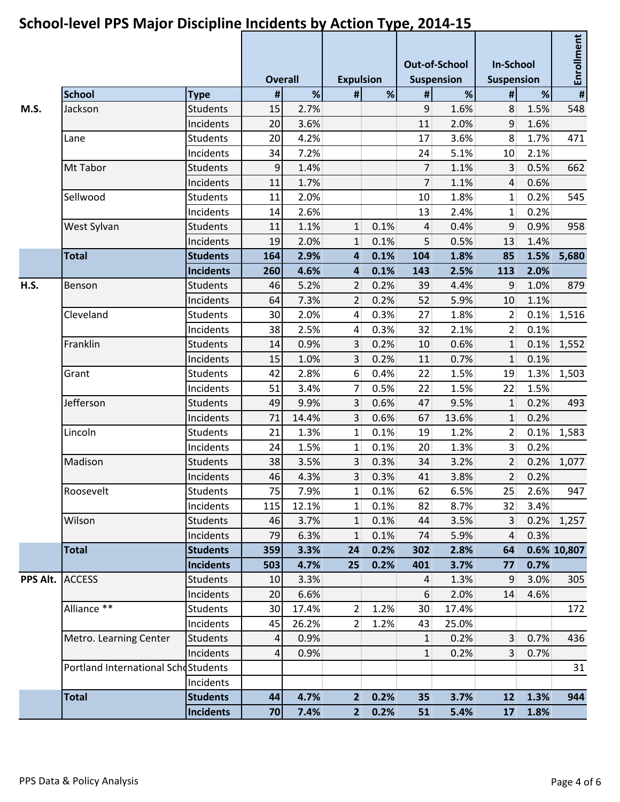#### **Overall Expulsion Out-of-School Suspension In-School Suspension Enrollment School Type # % # % # % # % # M.S.** Jackson Students | 15 2.7% 15 9 1.6% 8 1.5% 548 Incidents 20 3.6% 11 2.0% 9 1.6% Lane Students 20 4.2% 17 3.6% 8 1.7% 471 Incidents 34 7.2% 24 5.1% 10 2.1% Mt Tabor Students 9 1.4% 7 1.1% 3 0.5% 662 Incidents 11 1.7% 7 1.1% 4 0.6% Sellwood Students 11 2.0% 10 1.8% 1 0.2% 545  $Incidents$  14 2.6% 13 2.4% 1 0.2% West Sylvan Students 11 1.1% 1 0.1% 4 0.4% 9 0.9% 958 Incidents 19 2.0% 1 0.1% 5 0.5% 13 1.4% **Total Students 164 2.9% 4 0.1% 104 1.8% 85 1.5% 5,680 Incidents 260 4.6% 4 0.1% 143 2.5% 113 2.0% H.S.** Benson Students 46 5.2% 2 0.2% 39 4.4% 9 1.0% 879 Incidents 64 7.3% 2 0.2% 52 5.9% 10 1.1% Cleveland Students 30 2.0% 4 0.3% 27 1.8% 2 0.1% 1,516 Incidents 38 2.5% 4 0.3% 32 2.1% 2 0.1% Franklin Students 14 0.9% 3 0.2% 10 0.6% 1 0.1% 1,552 Incidents 15 1.0% 3 0.2% 11 0.7% 1 0.1% Grant Students 42 2.8% 6 0.4% 22 1.5% 19 1.3% 1,503 Incidents 51 3.4% 7 0.5% 22 1.5% 22 1.5% Jefferson Students 49 9.9% 3 0.6% 47 9.5% 1 0.2% 493 Incidents 71 14.4% 3 0.6% 67 13.6% 1 0.2% Lincoln Students 21 1.3% 1 0.1% 19 1.2% 2 0.1% 1,583 Incidents 24 1.5% 1 0.1% 20 1.3% 3 0.2% Madison Students 38 3.5% 3 0.3% 34 3.2% 2 0.2% 1,077 Incidents 46 4.3% 3 0.3% 41 3.8% 2 0.2% Roosevelt Students 75 7.9% 1 0.1% 62 6.5% 25 2.6% 947 Incidents 115 12.1% 1 0.1% 82 8.7% 32 3.4% Wilson Students 46 3.7% 1 0.1% 44 3.5% 3 0.2% 1,257 Incidents 79 6.3% 1 0.1% 74 5.9% 4 0.3% **Total Students 359 3.3% 24 0.2% 302 2.8% 64 0.6% 10,807 Incidents 503 4.7% 25 0.2% 401 3.7% 77 0.7% PPS Alt.** ACCESS Service Students | 10 3.3% 10 4 1.3% 9 3.0% 305 Incidents 20 6.6% 6 2.0% 14 4.6% Alliance \*\* Students 30 17.4% 2 1.2% 30 17.4% 172 Incidents 45 26.2% 2 1.2% 43 25.0% Metro. Learning Center Students | 4 0.9% 1 0.2% 3 0.7% 436 Incidents 4 0.9% 1 0.2% 3 0.7% Portland International Schostudents According to the Marine Students According to the Students Students According to the Students According to the Students According to the Students According to the Students According to t Incidents

**Total Students 44 4.7% 2 0.2% 35 3.7% 12 1.3% 944**

**Incidents 70 7.4% 2 0.2% 51 5.4% 17 1.8%**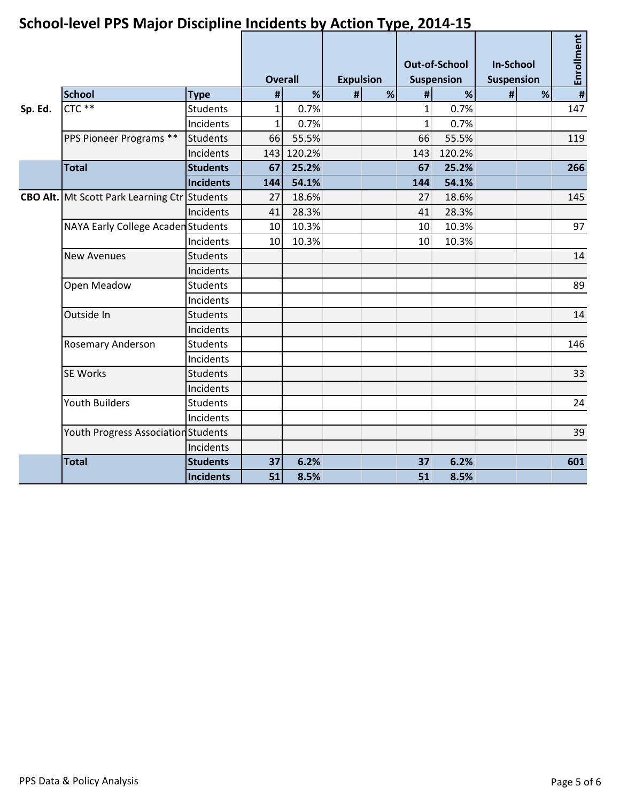|         | <u>Juliou-level I i J iviajul Discipline Indiaents by Action Type, 2014-15</u> |                 |                |        |                  |   |                                    |        |                                |   |                |  |
|---------|--------------------------------------------------------------------------------|-----------------|----------------|--------|------------------|---|------------------------------------|--------|--------------------------------|---|----------------|--|
|         |                                                                                |                 | <b>Overall</b> |        | <b>Expulsion</b> |   | <b>Out-of-School</b><br>Suspension |        | <b>In-School</b><br>Suspension |   | Enrollment     |  |
|         | <b>School</b>                                                                  | <b>Type</b>     | #              | %      | #                | % | #                                  | %      | #                              | % | $\pmb{\sharp}$ |  |
| Sp. Ed. | $CTC$ **                                                                       | <b>Students</b> | $1\vert$       | 0.7%   |                  |   | $\mathbf{1}$                       | 0.7%   |                                |   | 147            |  |
|         |                                                                                | Incidents       | $1\vert$       | 0.7%   |                  |   | $\mathbf{1}$                       | 0.7%   |                                |   |                |  |
|         | PPS Pioneer Programs **                                                        | <b>Students</b> | 66             | 55.5%  |                  |   | 66                                 | 55.5%  |                                |   | 119            |  |
|         |                                                                                | Incidents       | 143            | 120.2% |                  |   | 143                                | 120.2% |                                |   |                |  |
|         | <b>Total</b>                                                                   | <b>Students</b> | 67             | 25.2%  |                  |   | 67                                 | 25.2%  |                                |   | 266            |  |
|         |                                                                                | Incidents       | 144            | 54.1%  |                  |   | 144                                | 54.1%  |                                |   |                |  |
|         | <b>CBO Alt.</b> Mt Scott Park Learning Ctr Students                            |                 | 27             | 18.6%  |                  |   | 27                                 | 18.6%  |                                |   | 145            |  |
|         |                                                                                | Incidents       | 41             | 28.3%  |                  |   | 41                                 | 28.3%  |                                |   |                |  |
|         | <b>NAYA Early College Acaden Students</b>                                      |                 | 10             | 10.3%  |                  |   | 10                                 | 10.3%  |                                |   | 97             |  |
|         |                                                                                | Incidents       | 10             | 10.3%  |                  |   | 10                                 | 10.3%  |                                |   |                |  |
|         | <b>New Avenues</b>                                                             | <b>Students</b> |                |        |                  |   |                                    |        |                                |   | 14             |  |
|         |                                                                                | Incidents       |                |        |                  |   |                                    |        |                                |   |                |  |
|         | Open Meadow                                                                    | <b>Students</b> |                |        |                  |   |                                    |        |                                |   | 89             |  |
|         |                                                                                | Incidents       |                |        |                  |   |                                    |        |                                |   |                |  |
|         | Outside In                                                                     | <b>Students</b> |                |        |                  |   |                                    |        |                                |   | 14             |  |
|         |                                                                                | Incidents       |                |        |                  |   |                                    |        |                                |   |                |  |
|         | Rosemary Anderson                                                              | <b>Students</b> |                |        |                  |   |                                    |        |                                |   | 146            |  |
|         |                                                                                | Incidents       |                |        |                  |   |                                    |        |                                |   |                |  |
|         | <b>SE Works</b>                                                                | <b>Students</b> |                |        |                  |   |                                    |        |                                |   | 33             |  |
|         |                                                                                | Incidents       |                |        |                  |   |                                    |        |                                |   |                |  |
|         | <b>Youth Builders</b>                                                          | <b>Students</b> |                |        |                  |   |                                    |        |                                |   | 24             |  |
|         |                                                                                | Incidents       |                |        |                  |   |                                    |        |                                |   |                |  |
|         | Youth Progress Association Students                                            |                 |                |        |                  |   |                                    |        |                                |   | 39             |  |
|         |                                                                                | Incidents       |                |        |                  |   |                                    |        |                                |   |                |  |
|         | <b>Total</b>                                                                   | <b>Students</b> | 37             | 6.2%   |                  |   | 37                                 | 6.2%   |                                |   | 601            |  |
|         |                                                                                | Incidents       | 51             | 8.5%   |                  |   | 51                                 | 8.5%   |                                |   |                |  |